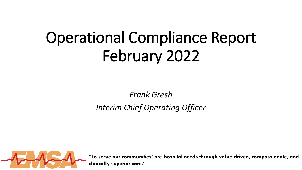# Operational Compliance Report February 2022

*Frank Gresh*

*Interim Chief Operating Officer*



**"To serve our communities' pre**‐**hospital needs through value**‐**driven, compassionate, and clinically superior care."**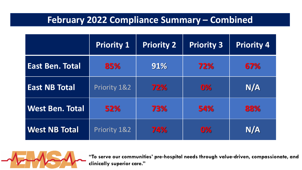# **February 2022 Compliance Summary – Combined**

|                        | <b>Priority 1</b> | <b>Priority 2</b> | <b>Priority 3</b> | <b>Priority 4</b> |
|------------------------|-------------------|-------------------|-------------------|-------------------|
| <b>East Ben. Total</b> | 85%               | 91%               | 72%               | 67%               |
| <b>East NB Total</b>   | Priority 1&2      | 72%               | 0%                | N/A               |
| <b>West Ben. Total</b> | 52%               | 73%               | 54%               | 88%               |
| <b>West NB Total</b>   | Priority 1&2      | 74%               | 0%                | N/A               |



**"To serve our communities' pre**‐**hospital needs through value**‐**driven, compassionate, and clinically superior care."**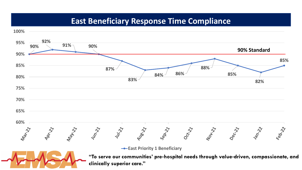## **East Beneficiary Response Time Compliance**

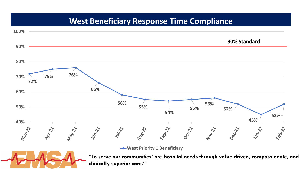# **West Beneficiary Response Time Compliance**

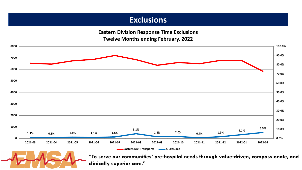## **Exclusions**

**Eastern Division Response Time Exclusions Twelve Months ending February, 2022**